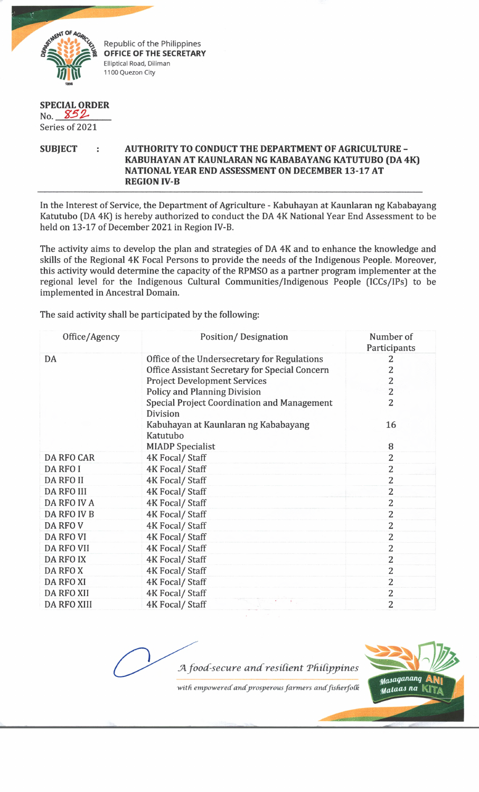

Republic of the Philippines **OFFICE OF THE SECRETARY** Elliptical Road, Diliman 1100 Quezon City

## **SPECIAL ORDER** No.  $852$

Series of 2021

## **SUBJECT : AUTHORITY TO CONDUCT THE DEPARTMENT OF AGRICULTURE - KABUHAYAN AT KAUNLARAN NG KABABAYANG KATUTUBO (DA 4K) NATIONAL YEAR END ASSESSMENT ON DECEMBER 13-17 AT REGION IV-B**

In the Interest of Service, the Department of Agriculture - Kabuhayan at Kaunlaran ng Kababayang Katutubo (DA 4K] is hereby authorized to conduct the DA 4K National Year End Assessment to be held on 13-17 of December 2021 in Region IV-B.

The activity aims to develop the plan and strategies of DA 4K and to enhance the knowledge and skills of the Regional 4K Focal Persons to provide the needs of the Indigenous People. Moreover, this activity would determine the capacity of the RPMSO as a partner program implementer at the regional level for the Indigenous Cultural Communities/Indigenous People (ICCs/IPs) to be implemented in Ancestral Domain.

The said activity shall be participated by the following:

| Office/Agency      | Position/Designation                                           | Number of<br>Participants |
|--------------------|----------------------------------------------------------------|---------------------------|
| DA                 | Office of the Undersecretary for Regulations                   | 2                         |
|                    | Office Assistant Secretary for Special Concern                 | $\overline{2}$            |
|                    | <b>Project Development Services</b>                            | $\overline{c}$            |
|                    | <b>Policy and Planning Division</b>                            | $\overline{c}$            |
|                    | <b>Special Project Coordination and Management</b><br>Division | 2                         |
|                    | Kabuhayan at Kaunlaran ng Kababayang<br>Katutubo               | 16                        |
|                    | <b>MIADP</b> Specialist                                        | 8                         |
| <b>DA RFO CAR</b>  | 4K Focal/Staff                                                 | 2                         |
| DA RFO I           | 4K Focal/ Staff                                                | 2                         |
| DA RFO II          | 4K Focal/ Staff                                                | 2                         |
| DA RFO III         | <b>4K Focal/ Staff</b>                                         | $\overline{2}$            |
| DA RFO IV A        | <b>4K Focal/ Staff</b>                                         | 2                         |
| DA RFO IV B        | 4K Focal/ Staff                                                | 2                         |
| DA RFO V           | 4K Focal/ Staff                                                | $\overline{2}$            |
| DA RFO VI          | 4K Focal/Staff                                                 | $\overline{2}$            |
| <b>DA RFO VII</b>  | 4K Focal/ Staff                                                | 2                         |
| DA RFO IX          | 4K Focal/Staff                                                 | $\overline{2}$            |
| DA RFO X           | 4K Focal/Staff                                                 | 2                         |
| <b>DA RFO XI</b>   | 4K Focal/Staff                                                 | 2                         |
| DA RFO XII         | 4K Focal/ Staff                                                | 2                         |
| <b>DA RFO XIII</b> | k.<br>4K Focal/Staff                                           | 2                         |





Masaganang Mataas na |